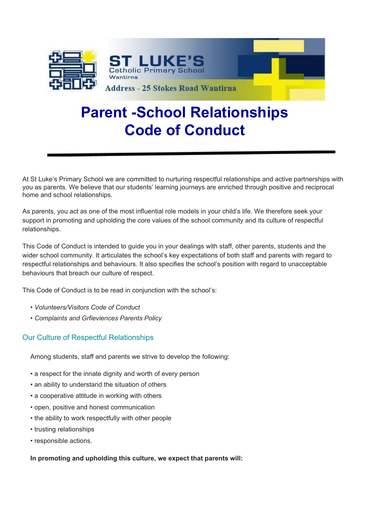

# **Parent -School Relationships Code of Conduct**

At St Luke's Primary School we are committed to nurturing respectful relationships and active partnerships with you as parents. We believe that our students' learning journeys are enriched through positive and reciprocal home and school relationships.

As parents, you act as one of the most influential role models in your child's life. We therefore seek your support in promoting and upholding the core values of the school community and its culture of respectful relationships.

This Code of Conduct is intended to guide you in your dealings with staff, other parents, students and the wider school community. It articulates the school's key expectations of both staff and parents with regard to respectful relationships and behaviours. It also specifies the school's position with regard to unacceptable behaviours that breach our culture of respect.

This Code of Conduct is to be read in conjunction with the school's:

- *Volunteers/Visitors Code of Conduct*
- *Complaints and Grfieviences Parents Policy*

## Our Culture of Respectful Relationships

Among students, staff and parents we strive to develop the following:

- a respect for the innate dignity and worth of every person
- an ability to understand the situation of others
- a cooperative attitude in working with others
- open, positive and honest communication
- the ability to work respectfully with other people
- trusting relationships
- responsible actions.

#### **In promoting and upholding this culture, we expect that parents will:**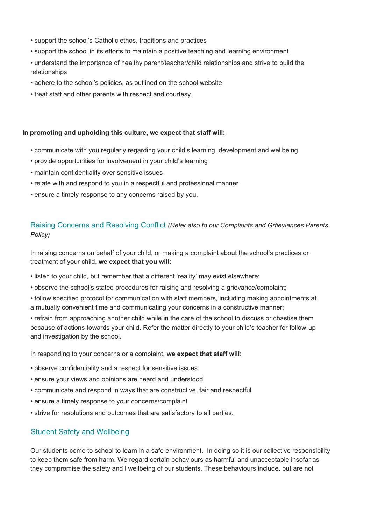- support the school's Catholic ethos, traditions and practices
- support the school in its efforts to maintain a positive teaching and learning environment
- understand the importance of healthy parent/teacher/child relationships and strive to build the relationships
- adhere to the school's policies, as outlined on the school website
- treat staff and other parents with respect and courtesy.

#### **In promoting and upholding this culture, we expect that staff will:**

- communicate with you regularly regarding your child's learning, development and wellbeing
- provide opportunities for involvement in your child's learning
- maintain confidentiality over sensitive issues
- relate with and respond to you in a respectful and professional manner
- ensure a timely response to any concerns raised by you.

## Raising Concerns and Resolving Conflict *(Refer also to our Complaints and Grfieviences Parents Policy)*

In raising concerns on behalf of your child, or making a complaint about the school's practices or treatment of your child, **we expect that you will**:

- listen to your child, but remember that a different 'reality' may exist elsewhere;
- observe the school's stated procedures for raising and resolving a grievance/complaint;
- follow specified protocol for communication with staff members, including making appointments at a mutually convenient time and communicating your concerns in a constructive manner;

• refrain from approaching another child while in the care of the school to discuss or chastise them because of actions towards your child. Refer the matter directly to your child's teacher for follow-up and investigation by the school.

In responding to your concerns or a complaint, **we expect that staff will**:

- observe confidentiality and a respect for sensitive issues
- ensure your views and opinions are heard and understood
- communicate and respond in ways that are constructive, fair and respectful
- ensure a timely response to your concerns/complaint
- strive for resolutions and outcomes that are satisfactory to all parties.

### Student Safety and Wellbeing

Our students come to school to learn in a safe environment. In doing so it is our collective responsibility to keep them safe from harm. We regard certain behaviours as harmful and unacceptable insofar as they compromise the safety and l wellbeing of our students. These behaviours include, but are not